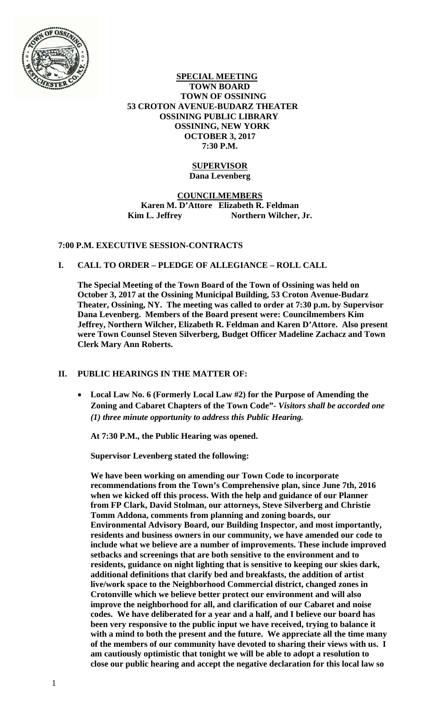

 **SPECIAL MEETING TOWN BOARD TOWN OF OSSINING 53 CROTON AVENUE-BUDARZ THEATER OSSINING PUBLIC LIBRARY OSSINING, NEW YORK OCTOBER 3, 2017 7:30 P.M.** 

## **SUPERVISOR Dana Levenberg**

## **COUNCILMEMBERS Karen M. D'Attore Elizabeth R. Feldman**  Kim L. Jeffrey Northern Wilcher, Jr.

# **7:00 P.M. EXECUTIVE SESSION-CONTRACTS**

## **I. CALL TO ORDER – PLEDGE OF ALLEGIANCE – ROLL CALL**

**The Special Meeting of the Town Board of the Town of Ossining was held on October 3, 2017 at the Ossining Municipal Building, 53 Croton Avenue-Budarz Theater, Ossining, NY. The meeting was called to order at 7:30 p.m. by Supervisor Dana Levenberg. Members of the Board present were: Councilmembers Kim Jeffrey, Northern Wilcher, Elizabeth R. Feldman and Karen D'Attore. Also present were Town Counsel Steven Silverberg, Budget Officer Madeline Zachacz and Town Clerk Mary Ann Roberts.** 

### **II. PUBLIC HEARINGS IN THE MATTER OF:**

 **Local Law No. 6 (Formerly Local Law #2) for the Purpose of Amending the Zoning and Cabaret Chapters of the Town Code"-** *Visitors shall be accorded one (1) three minute opportunity to address this Public Hearing.* 

**At 7:30 P.M., the Public Hearing was opened.** 

**Supervisor Levenberg stated the following:** 

**We have been working on amending our Town Code to incorporate recommendations from the Town's Comprehensive plan, since June 7th, 2016 when we kicked off this process. With the help and guidance of our Planner from FP Clark, David Stolman, our attorneys, Steve Silverberg and Christie Tomm Addona, comments from planning and zoning boards, our Environmental Advisory Board, our Building Inspector, and most importantly, residents and business owners in our community, we have amended our code to include what we believe are a number of improvements. These include improved setbacks and screenings that are both sensitive to the environment and to residents, guidance on night lighting that is sensitive to keeping our skies dark, additional definitions that clarify bed and breakfasts, the addition of artist live/work space to the Neighborhood Commercial district, changed zones in Crotonville which we believe better protect our environment and will also improve the neighborhood for all, and clarification of our Cabaret and noise codes. We have deliberated for a year and a half, and I believe our board has been very responsive to the public input we have received, trying to balance it with a mind to both the present and the future. We appreciate all the time many of the members of our community have devoted to sharing their views with us. I am cautiously optimistic that tonight we will be able to adopt a resolution to close our public hearing and accept the negative declaration for this local law so**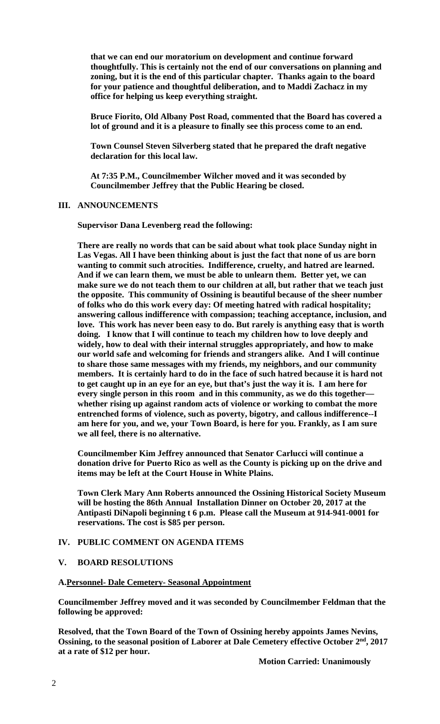**that we can end our moratorium on development and continue forward thoughtfully. This is certainly not the end of our conversations on planning and zoning, but it is the end of this particular chapter. Thanks again to the board for your patience and thoughtful deliberation, and to Maddi Zachacz in my office for helping us keep everything straight.** 

**Bruce Fiorito, Old Albany Post Road, commented that the Board has covered a lot of ground and it is a pleasure to finally see this process come to an end.** 

**Town Counsel Steven Silverberg stated that he prepared the draft negative declaration for this local law.** 

**At 7:35 P.M., Councilmember Wilcher moved and it was seconded by Councilmember Jeffrey that the Public Hearing be closed.** 

#### **III. ANNOUNCEMENTS**

**Supervisor Dana Levenberg read the following:** 

**There are really no words that can be said about what took place Sunday night in Las Vegas. All I have been thinking about is just the fact that none of us are born wanting to commit such atrocities. Indifference, cruelty, and hatred are learned. And if we can learn them, we must be able to unlearn them. Better yet, we can make sure we do not teach them to our children at all, but rather that we teach just the opposite. This community of Ossining is beautiful because of the sheer number of folks who do this work every day: Of meeting hatred with radical hospitality; answering callous indifference with compassion; teaching acceptance, inclusion, and love. This work has never been easy to do. But rarely is anything easy that is worth doing. I know that I will continue to teach my children how to love deeply and widely, how to deal with their internal struggles appropriately, and how to make our world safe and welcoming for friends and strangers alike. And I will continue to share those same messages with my friends, my neighbors, and our community members. It is certainly hard to do in the face of such hatred because it is hard not to get caught up in an eye for an eye, but that's just the way it is. I am here for every single person in this room and in this community, as we do this together whether rising up against random acts of violence or working to combat the more entrenched forms of violence, such as poverty, bigotry, and callous indifference--I am here for you, and we, your Town Board, is here for you. Frankly, as I am sure we all feel, there is no alternative.** 

**Councilmember Kim Jeffrey announced that Senator Carlucci will continue a donation drive for Puerto Rico as well as the County is picking up on the drive and items may be left at the Court House in White Plains.** 

**Town Clerk Mary Ann Roberts announced the Ossining Historical Society Museum will be hosting the 86th Annual Installation Dinner on October 20, 2017 at the Antipasti DiNapoli beginning t 6 p.m. Please call the Museum at 914-941-0001 for reservations. The cost is \$85 per person.** 

#### **IV. PUBLIC COMMENT ON AGENDA ITEMS**

#### **V. BOARD RESOLUTIONS**

#### **A.Personnel- Dale Cemetery- Seasonal Appointment**

**Councilmember Jeffrey moved and it was seconded by Councilmember Feldman that the following be approved:** 

**Resolved, that the Town Board of the Town of Ossining hereby appoints James Nevins,**  Ossining, to the seasonal position of Laborer at Dale Cemetery effective October 2<sup>nd</sup>, 2017 **at a rate of \$12 per hour.**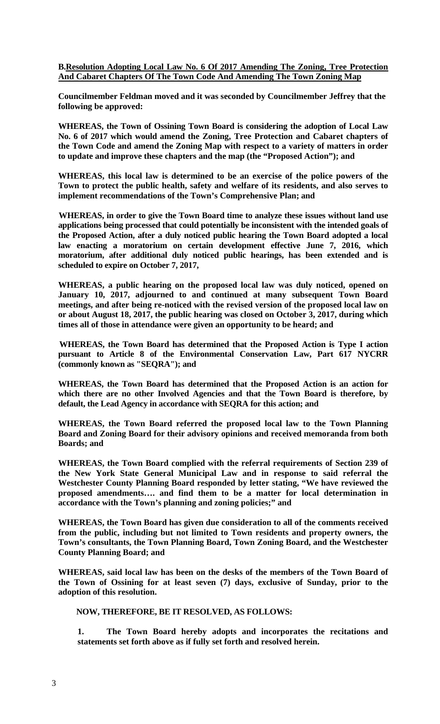**B.Resolution Adopting Local Law No. 6 Of 2017 Amending The Zoning, Tree Protection And Cabaret Chapters Of The Town Code And Amending The Town Zoning Map** 

**Councilmember Feldman moved and it was seconded by Councilmember Jeffrey that the following be approved:** 

**WHEREAS, the Town of Ossining Town Board is considering the adoption of Local Law No. 6 of 2017 which would amend the Zoning, Tree Protection and Cabaret chapters of the Town Code and amend the Zoning Map with respect to a variety of matters in order to update and improve these chapters and the map (the "Proposed Action"); and** 

**WHEREAS, this local law is determined to be an exercise of the police powers of the Town to protect the public health, safety and welfare of its residents, and also serves to implement recommendations of the Town's Comprehensive Plan; and** 

**WHEREAS, in order to give the Town Board time to analyze these issues without land use applications being processed that could potentially be inconsistent with the intended goals of the Proposed Action, after a duly noticed public hearing the Town Board adopted a local law enacting a moratorium on certain development effective June 7, 2016, which moratorium, after additional duly noticed public hearings, has been extended and is scheduled to expire on October 7, 2017,** 

**WHEREAS, a public hearing on the proposed local law was duly noticed, opened on January 10, 2017, adjourned to and continued at many subsequent Town Board meetings, and after being re-noticed with the revised version of the proposed local law on or about August 18, 2017, the public hearing was closed on October 3, 2017, during which times all of those in attendance were given an opportunity to be heard; and** 

**WHEREAS, the Town Board has determined that the Proposed Action is Type I action pursuant to Article 8 of the Environmental Conservation Law, Part 617 NYCRR (commonly known as "SEQRA"); and** 

**WHEREAS, the Town Board has determined that the Proposed Action is an action for which there are no other Involved Agencies and that the Town Board is therefore, by default, the Lead Agency in accordance with SEQRA for this action; and** 

**WHEREAS, the Town Board referred the proposed local law to the Town Planning Board and Zoning Board for their advisory opinions and received memoranda from both Boards; and** 

**WHEREAS, the Town Board complied with the referral requirements of Section 239 of the New York State General Municipal Law and in response to said referral the Westchester County Planning Board responded by letter stating, "We have reviewed the proposed amendments…. and find them to be a matter for local determination in accordance with the Town's planning and zoning policies;" and** 

**WHEREAS, the Town Board has given due consideration to all of the comments received from the public, including but not limited to Town residents and property owners, the Town's consultants, the Town Planning Board, Town Zoning Board, and the Westchester County Planning Board; and** 

**WHEREAS, said local law has been on the desks of the members of the Town Board of the Town of Ossining for at least seven (7) days, exclusive of Sunday, prior to the adoption of this resolution.** 

 **NOW, THEREFORE, BE IT RESOLVED, AS FOLLOWS:** 

**1. The Town Board hereby adopts and incorporates the recitations and statements set forth above as if fully set forth and resolved herein.**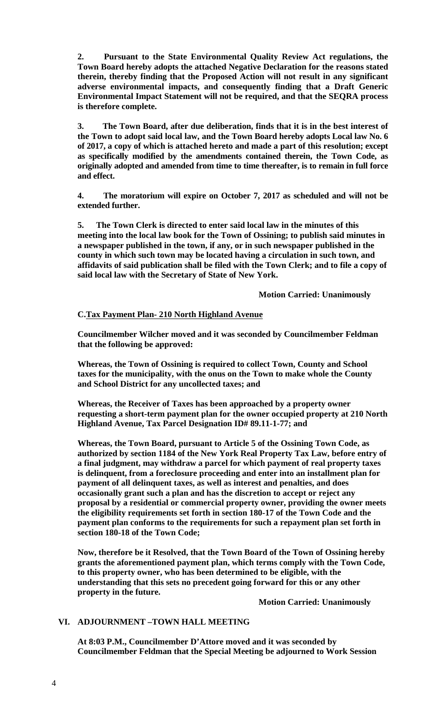**2. Pursuant to the State Environmental Quality Review Act regulations, the Town Board hereby adopts the attached Negative Declaration for the reasons stated therein, thereby finding that the Proposed Action will not result in any significant adverse environmental impacts, and consequently finding that a Draft Generic Environmental Impact Statement will not be required, and that the SEQRA process is therefore complete.** 

**3. The Town Board, after due deliberation, finds that it is in the best interest of the Town to adopt said local law, and the Town Board hereby adopts Local law No. 6 of 2017, a copy of which is attached hereto and made a part of this resolution; except as specifically modified by the amendments contained therein, the Town Code, as originally adopted and amended from time to time thereafter, is to remain in full force and effect.** 

**4. The moratorium will expire on October 7, 2017 as scheduled and will not be extended further.** 

**5. The Town Clerk is directed to enter said local law in the minutes of this meeting into the local law book for the Town of Ossining; to publish said minutes in a newspaper published in the town, if any, or in such newspaper published in the county in which such town may be located having a circulation in such town, and affidavits of said publication shall be filed with the Town Clerk; and to file a copy of said local law with the Secretary of State of New York.** 

 **Motion Carried: Unanimously** 

### **C.Tax Payment Plan- 210 North Highland Avenue**

**Councilmember Wilcher moved and it was seconded by Councilmember Feldman that the following be approved:** 

**Whereas, the Town of Ossining is required to collect Town, County and School taxes for the municipality, with the onus on the Town to make whole the County and School District for any uncollected taxes; and** 

**Whereas, the Receiver of Taxes has been approached by a property owner requesting a short-term payment plan for the owner occupied property at 210 North Highland Avenue, Tax Parcel Designation ID# 89.11-1-77; and** 

**Whereas, the Town Board, pursuant to Article 5 of the Ossining Town Code, as authorized by section 1184 of the New York Real Property Tax Law, before entry of a final judgment, may withdraw a parcel for which payment of real property taxes is delinquent, from a foreclosure proceeding and enter into an installment plan for payment of all delinquent taxes, as well as interest and penalties, and does occasionally grant such a plan and has the discretion to accept or reject any proposal by a residential or commercial property owner, providing the owner meets the eligibility requirements set forth in section 180-17 of the Town Code and the payment plan conforms to the requirements for such a repayment plan set forth in section 180-18 of the Town Code;** 

**Now, therefore be it Resolved, that the Town Board of the Town of Ossining hereby grants the aforementioned payment plan, which terms comply with the Town Code, to this property owner, who has been determined to be eligible, with the understanding that this sets no precedent going forward for this or any other property in the future.**

**Motion Carried: Unanimously**

# **VI. ADJOURNMENT –TOWN HALL MEETING**

**At 8:03 P.M., Councilmember D'Attore moved and it was seconded by Councilmember Feldman that the Special Meeting be adjourned to Work Session**